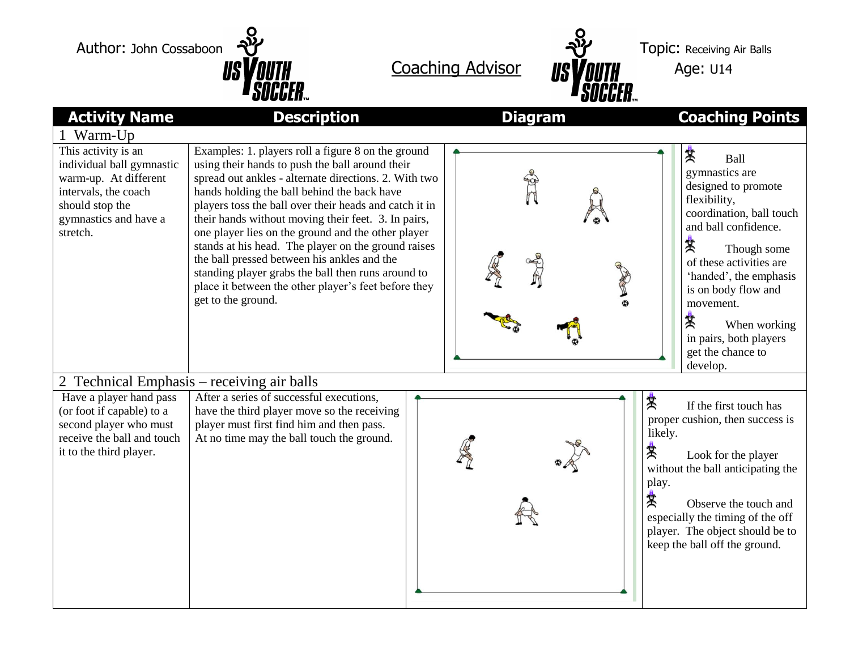Author: John Cossaboon  $\frac{8}{10}$  Author: John Cossaboon  $\frac{8}{10}$ 





| <b>Activity Name</b>                                                                                                                                      | <b>Description</b>                                                                                                                                                                                                                                                                                                                                                                                                                                                                                                                                                                                                             |  | <b>Diagram</b> |                                 | <b>Coaching Points</b>                                                                                                                                                                                                                                                                                         |  |  |
|-----------------------------------------------------------------------------------------------------------------------------------------------------------|--------------------------------------------------------------------------------------------------------------------------------------------------------------------------------------------------------------------------------------------------------------------------------------------------------------------------------------------------------------------------------------------------------------------------------------------------------------------------------------------------------------------------------------------------------------------------------------------------------------------------------|--|----------------|---------------------------------|----------------------------------------------------------------------------------------------------------------------------------------------------------------------------------------------------------------------------------------------------------------------------------------------------------------|--|--|
| 1 Warm-Up                                                                                                                                                 |                                                                                                                                                                                                                                                                                                                                                                                                                                                                                                                                                                                                                                |  |                |                                 |                                                                                                                                                                                                                                                                                                                |  |  |
| This activity is an<br>individual ball gymnastic<br>warm-up. At different<br>intervals, the coach<br>should stop the<br>gymnastics and have a<br>stretch. | Examples: 1. players roll a figure 8 on the ground<br>using their hands to push the ball around their<br>spread out ankles - alternate directions. 2. With two<br>hands holding the ball behind the back have<br>players toss the ball over their heads and catch it in<br>their hands without moving their feet. 3. In pairs,<br>one player lies on the ground and the other player<br>stands at his head. The player on the ground raises<br>the ball pressed between his ankles and the<br>standing player grabs the ball then runs around to<br>place it between the other player's feet before they<br>get to the ground. |  |                | 棠                               | Ball<br>gymnastics are<br>designed to promote<br>flexibility,<br>coordination, ball touch<br>and ball confidence.<br>棠<br>Though some<br>of these activities are<br>'handed', the emphasis<br>is on body flow and<br>movement.<br>棠<br>When working<br>in pairs, both players<br>get the chance to<br>develop. |  |  |
| 2 Technical Emphasis – receiving air balls                                                                                                                |                                                                                                                                                                                                                                                                                                                                                                                                                                                                                                                                                                                                                                |  |                |                                 |                                                                                                                                                                                                                                                                                                                |  |  |
| Have a player hand pass<br>(or foot if capable) to a<br>second player who must<br>receive the ball and touch<br>it to the third player.                   | After a series of successful executions,<br>have the third player move so the receiving<br>player must first find him and then pass.<br>At no time may the ball touch the ground.                                                                                                                                                                                                                                                                                                                                                                                                                                              |  |                | 紫<br>likely.<br>赏<br>play.<br>糞 | If the first touch has<br>proper cushion, then success is<br>Look for the player<br>without the ball anticipating the<br>Observe the touch and<br>especially the timing of the off<br>player. The object should be to<br>keep the ball off the ground.                                                         |  |  |